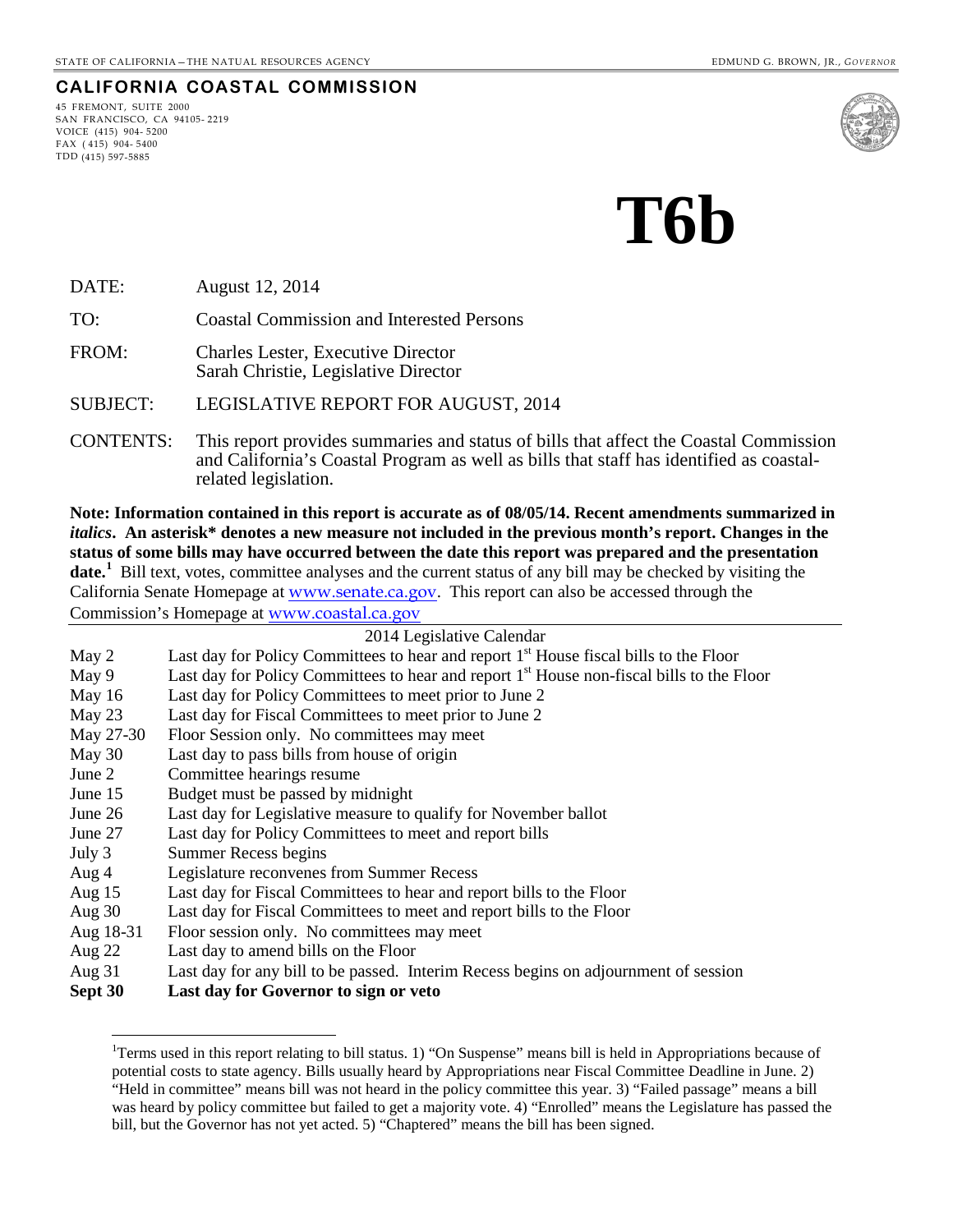#### **CALIFORNIA COASTAL COMMISSION**

45 FREMONT, SUITE 2000 SAN FRANCISCO, CA 94105- 2219 VOICE (415) 904- 5200  $FAX (415) 904 - 5400$ TDD (415) 597-5885



# **T6b**

DATE: August 12, 2014

TO: Coastal Commission and Interested Persons

FROM: Charles Lester, Executive Director Sarah Christie, Legislative Director

SUBJECT: LEGISLATIVE REPORT FOR AUGUST, 2014

CONTENTS: This report provides summaries and status of bills that affect the Coastal Commission and California's Coastal Program as well as bills that staff has identified as coastal- related legislation.

**Note: Information contained in this report is accurate as of 08/05/14. Recent amendments summarized in**  *italics***. An asterisk\* denotes a new measure not included in the previous month's report. Changes in the status of some bills may have occurred between the date this report was prepared and the presentation**  date.<sup>[1](#page-0-0)</sup> Bill text, votes, committee analyses and the current status of any bill may be checked by visiting the California Senate Homepage at [www.senate.ca.gov](http://www.senate.ca.gov/). This report can also be accessed through the Commission's Homepage at [www.coastal.ca.gov](http://www.coastal.ca.gov/)

| 2014 Legislative Calendar |                                                                                                       |  |
|---------------------------|-------------------------------------------------------------------------------------------------------|--|
| May 2                     | Last day for Policy Committees to hear and report 1 <sup>st</sup> House fiscal bills to the Floor     |  |
| May 9                     | Last day for Policy Committees to hear and report 1 <sup>st</sup> House non-fiscal bills to the Floor |  |
| May 16                    | Last day for Policy Committees to meet prior to June 2                                                |  |
| May 23                    | Last day for Fiscal Committees to meet prior to June 2                                                |  |
| May 27-30                 | Floor Session only. No committees may meet                                                            |  |
| May 30                    | Last day to pass bills from house of origin                                                           |  |
| June $21$                 | Committee hearings resume                                                                             |  |
| June 15                   | Budget must be passed by midnight                                                                     |  |
| June 26                   | Last day for Legislative measure to qualify for November ballot                                       |  |
| June 27                   | Last day for Policy Committees to meet and report bills                                               |  |
| July 3                    | <b>Summer Recess begins</b>                                                                           |  |
| Aug 4                     | Legislature reconvenes from Summer Recess                                                             |  |
| Aug $15$                  | Last day for Fiscal Committees to hear and report bills to the Floor                                  |  |
| Aug $30$                  | Last day for Fiscal Committees to meet and report bills to the Floor                                  |  |
| Aug 18-31                 | Floor session only. No committees may meet                                                            |  |
| Aug $22$                  | Last day to amend bills on the Floor                                                                  |  |
| Aug 31                    | Last day for any bill to be passed. Interim Recess begins on adjournment of session                   |  |

<span id="page-0-0"></span>**Sept 30 Last day for Governor to sign or veto** 

 $\overline{a}$ 

<sup>&</sup>lt;sup>1</sup>Terms used in this report relating to bill status. 1) "On Suspense" means bill is held in Appropriations because of potential costs to state agency. Bills usually heard by Appropriations near Fiscal Committee Deadline in June. 2) "Held in committee" means bill was not heard in the policy committee this year. 3) "Failed passage" means a bill was heard by policy committee but failed to get a majority vote. 4) "Enrolled" means the Legislature has passed the bill, but the Governor has not yet acted. 5) "Chaptered" means the bill has been signed.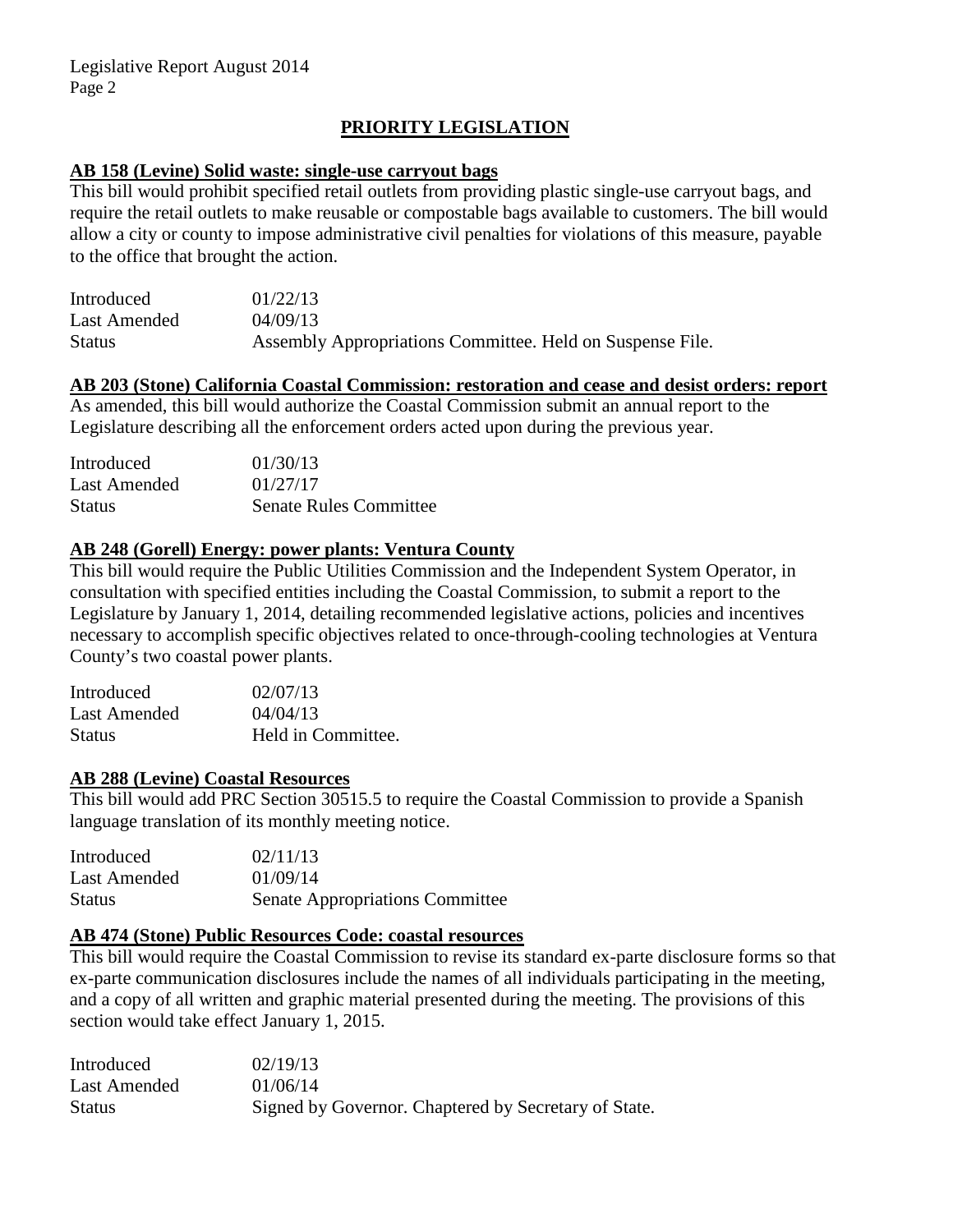# **PRIORITY LEGISLATION**

#### **AB 158 (Levine) Solid waste: single-use carryout bags**

This bill would prohibit specified retail outlets from providing plastic single-use carryout bags, and require the retail outlets to make reusable or compostable bags available to customers. The bill would allow a city or county to impose administrative civil penalties for violations of this measure, payable to the office that brought the action.

| Introduced    | 01/22/13                                                  |
|---------------|-----------------------------------------------------------|
| Last Amended  | 04/09/13                                                  |
| <b>Status</b> | Assembly Appropriations Committee. Held on Suspense File. |

# **AB 203 (Stone) California Coastal Commission: restoration and cease and desist orders: report**

As amended, this bill would authorize the Coastal Commission submit an annual report to the Legislature describing all the enforcement orders acted upon during the previous year.

| Introduced    | 01/30/13                      |
|---------------|-------------------------------|
| Last Amended  | 01/27/17                      |
| <b>Status</b> | <b>Senate Rules Committee</b> |

# **AB 248 (Gorell) Energy: power plants: Ventura County**

This bill would require the Public Utilities Commission and the Independent System Operator, in consultation with specified entities including the Coastal Commission, to submit a report to the Legislature by January 1, 2014, detailing recommended legislative actions, policies and incentives necessary to accomplish specific objectives related to once-through-cooling technologies at Ventura County's two coastal power plants.

| Introduced    | 02/07/13           |
|---------------|--------------------|
| Last Amended  | 04/04/13           |
| <b>Status</b> | Held in Committee. |

#### **AB 288 (Levine) Coastal Resources**

This bill would add PRC Section 30515.5 to require the Coastal Commission to provide a Spanish language translation of its monthly meeting notice.

| Introduced    | 02/11/13                               |
|---------------|----------------------------------------|
| Last Amended  | 01/09/14                               |
| <b>Status</b> | <b>Senate Appropriations Committee</b> |

## **AB 474 (Stone) Public Resources Code: coastal resources**

This bill would require the Coastal Commission to revise its standard ex-parte disclosure forms so that ex-parte communication disclosures include the names of all individuals participating in the meeting, and a copy of all written and graphic material presented during the meeting. The provisions of this section would take effect January 1, 2015.

| Introduced   | 02/19/13                                             |
|--------------|------------------------------------------------------|
| Last Amended | 01/06/14                                             |
| Status       | Signed by Governor. Chaptered by Secretary of State. |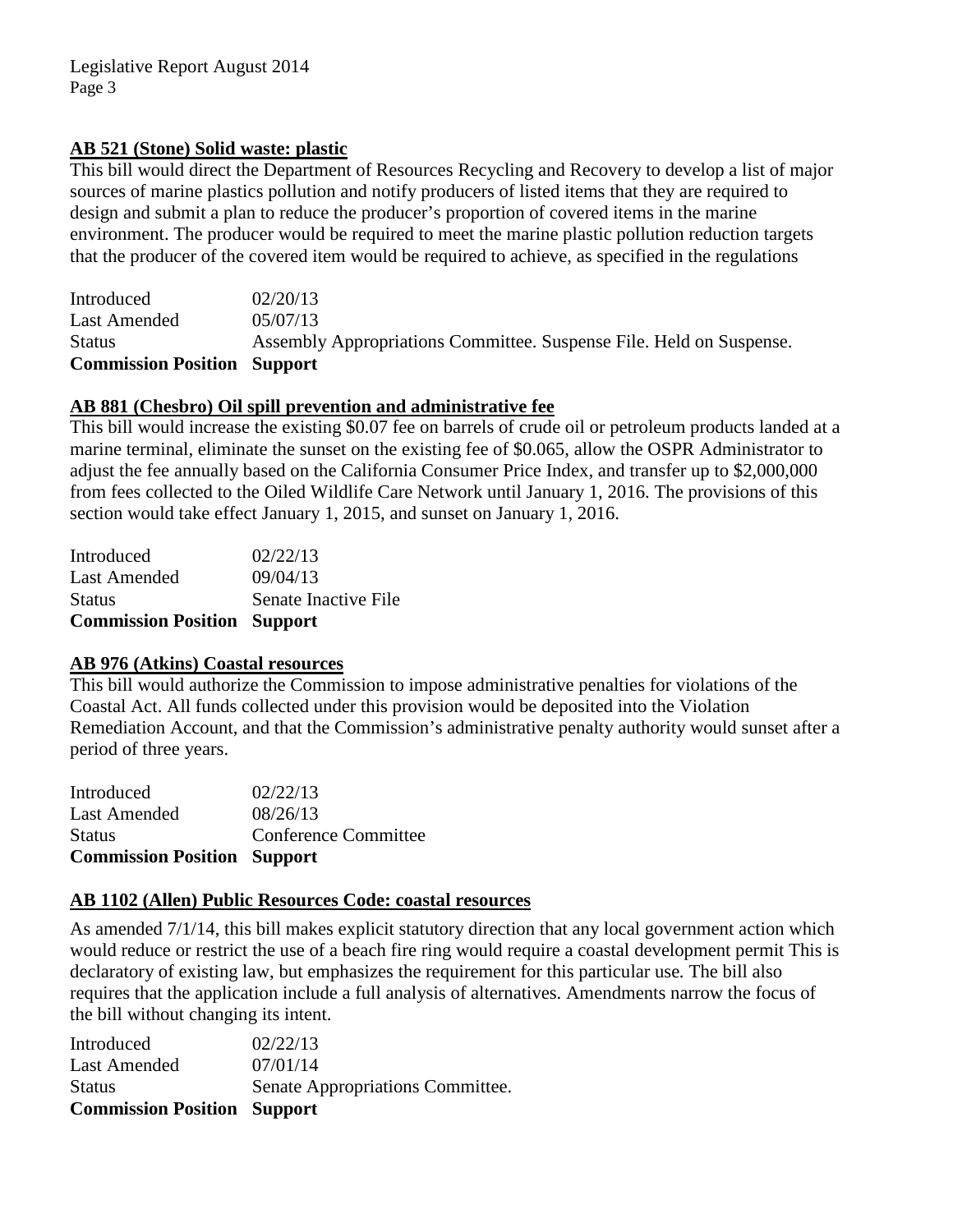# **AB 521 (Stone) Solid waste: plastic**

This bill would direct the Department of Resources Recycling and Recovery to develop a list of major sources of marine plastics pollution and notify producers of listed items that they are required to design and submit a plan to reduce the producer's proportion of covered items in the marine environment. The producer would be required to meet the marine plastic pollution reduction targets that the producer of the covered item would be required to achieve, as specified in the regulations

Introduced 02/20/13 Last Amended 05/07/13 Status Assembly Appropriations Committee. Suspense File. Held on Suspense. **Commission Position Support**

# **AB 881 (Chesbro) Oil spill prevention and administrative fee**

This bill would increase the existing \$0.07 fee on barrels of crude oil or petroleum products landed at a marine terminal, eliminate the sunset on the existing fee of \$0.065, allow the OSPR Administrator to adjust the fee annually based on the California Consumer Price Index, and transfer up to \$2,000,000 from fees collected to the Oiled Wildlife Care Network until January 1, 2016. The provisions of this section would take effect January 1, 2015, and sunset on January 1, 2016.

| <b>Commission Position Support</b> |                      |
|------------------------------------|----------------------|
| <b>Status</b>                      | Senate Inactive File |
| Last Amended                       | 09/04/13             |
| Introduced                         | 02/22/13             |
|                                    |                      |

# **AB 976 (Atkins) Coastal resources**

This bill would authorize the Commission to impose administrative penalties for violations of the Coastal Act. All funds collected under this provision would be deposited into the Violation Remediation Account, and that the Commission's administrative penalty authority would sunset after a period of three years.

| <b>Status</b><br><b>Commission Position Support</b> | Conference Committee |
|-----------------------------------------------------|----------------------|
| Last Amended                                        | 08/26/13             |
| Introduced                                          | 02/22/13             |

# **AB 1102 (Allen) Public Resources Code: coastal resources**

As amended 7/1/14, this bill makes explicit statutory direction that any local government action which would reduce or restrict the use of a beach fire ring would require a coastal development permit This is declaratory of existing law, but emphasizes the requirement for this particular use*.* The bill also requires that the application include a full analysis of alternatives. Amendments narrow the focus of the bill without changing its intent.

| Senate Appropriations Committee. |
|----------------------------------|
|                                  |
|                                  |
|                                  |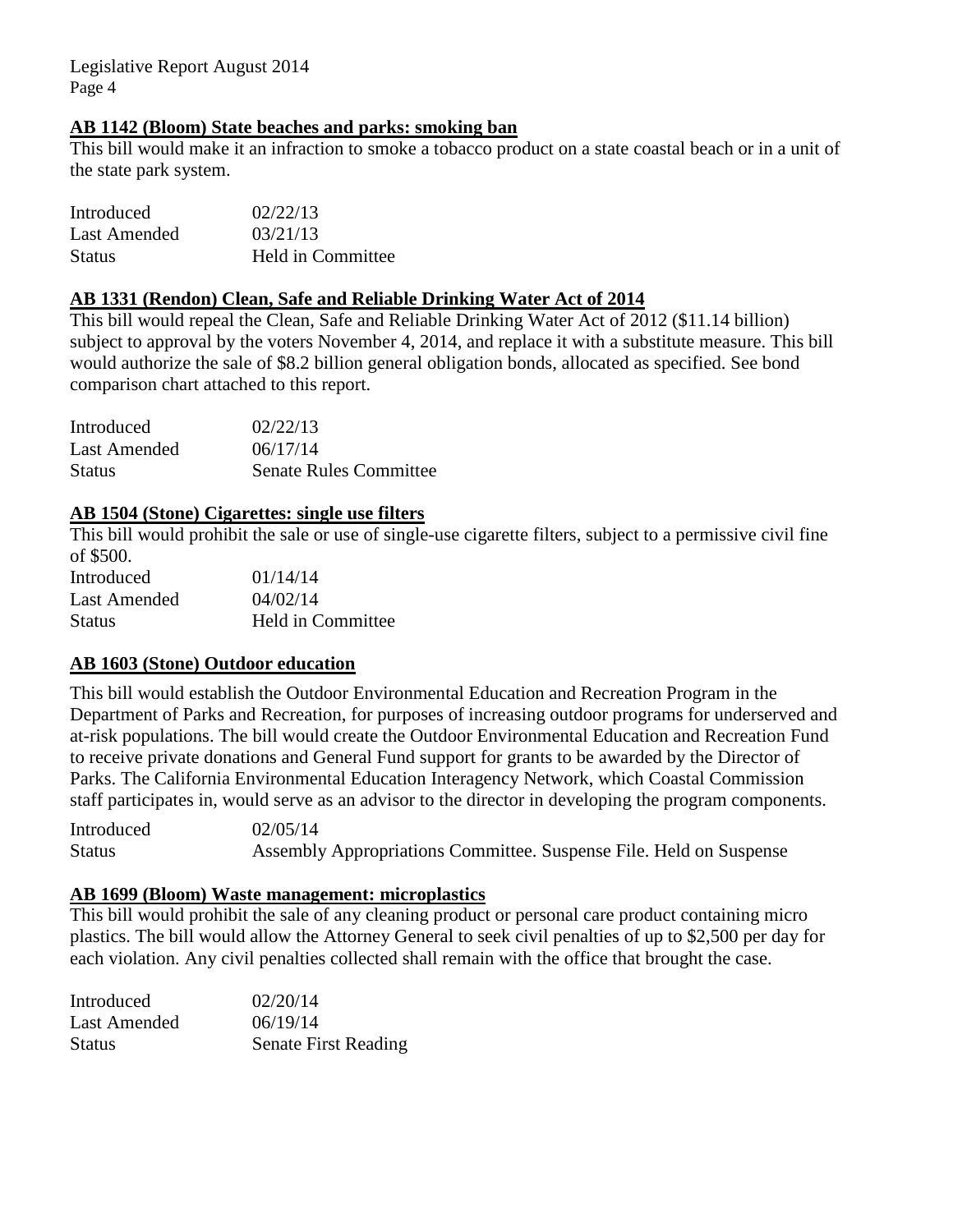# **AB 1142 (Bloom) State beaches and parks: smoking ban**

This bill would make it an infraction to smoke a tobacco product on a state coastal beach or in a unit of the state park system.

| Introduced    | 02/22/13          |
|---------------|-------------------|
| Last Amended  | 03/21/13          |
| <b>Status</b> | Held in Committee |

#### **AB 1331 (Rendon) Clean, Safe and Reliable Drinking Water Act of 2014**

This bill would repeal the Clean, Safe and Reliable Drinking Water Act of 2012 (\$11.14 billion) subject to approval by the voters November 4, 2014, and replace it with a substitute measure. This bill would authorize the sale of \$8.2 billion general obligation bonds, allocated as specified. See bond comparison chart attached to this report.

| Introduced    | 02/22/13                      |
|---------------|-------------------------------|
| Last Amended  | 06/17/14                      |
| <b>Status</b> | <b>Senate Rules Committee</b> |

# **AB 1504 (Stone) Cigarettes: single use filters**

This bill would prohibit the sale or use of single-use cigarette filters, subject to a permissive civil fine of \$500.

| Introduced   | 01/14/14          |
|--------------|-------------------|
| Last Amended | 04/02/14          |
| Status       | Held in Committee |

# **AB 1603 (Stone) Outdoor education**

This bill would establish the Outdoor Environmental Education and Recreation Program in the Department of Parks and Recreation, for purposes of increasing outdoor programs for underserved and at-risk populations. The bill would create the Outdoor Environmental Education and Recreation Fund to receive private donations and General Fund support for grants to be awarded by the Director of Parks. The California Environmental Education Interagency Network, which Coastal Commission staff participates in, would serve as an advisor to the director in developing the program components.

Introduced 02/05/14 Status Assembly Appropriations Committee. Suspense File. Held on Suspense

# **AB 1699 (Bloom) Waste management: microplastics**

This bill would prohibit the sale of any cleaning product or personal care product containing micro plastics. The bill would allow the Attorney General to seek civil penalties of up to \$2,500 per day for each violation. Any civil penalties collected shall remain with the office that brought the case.

| Introduced    | 02/20/14                    |
|---------------|-----------------------------|
| Last Amended  | 06/19/14                    |
| <b>Status</b> | <b>Senate First Reading</b> |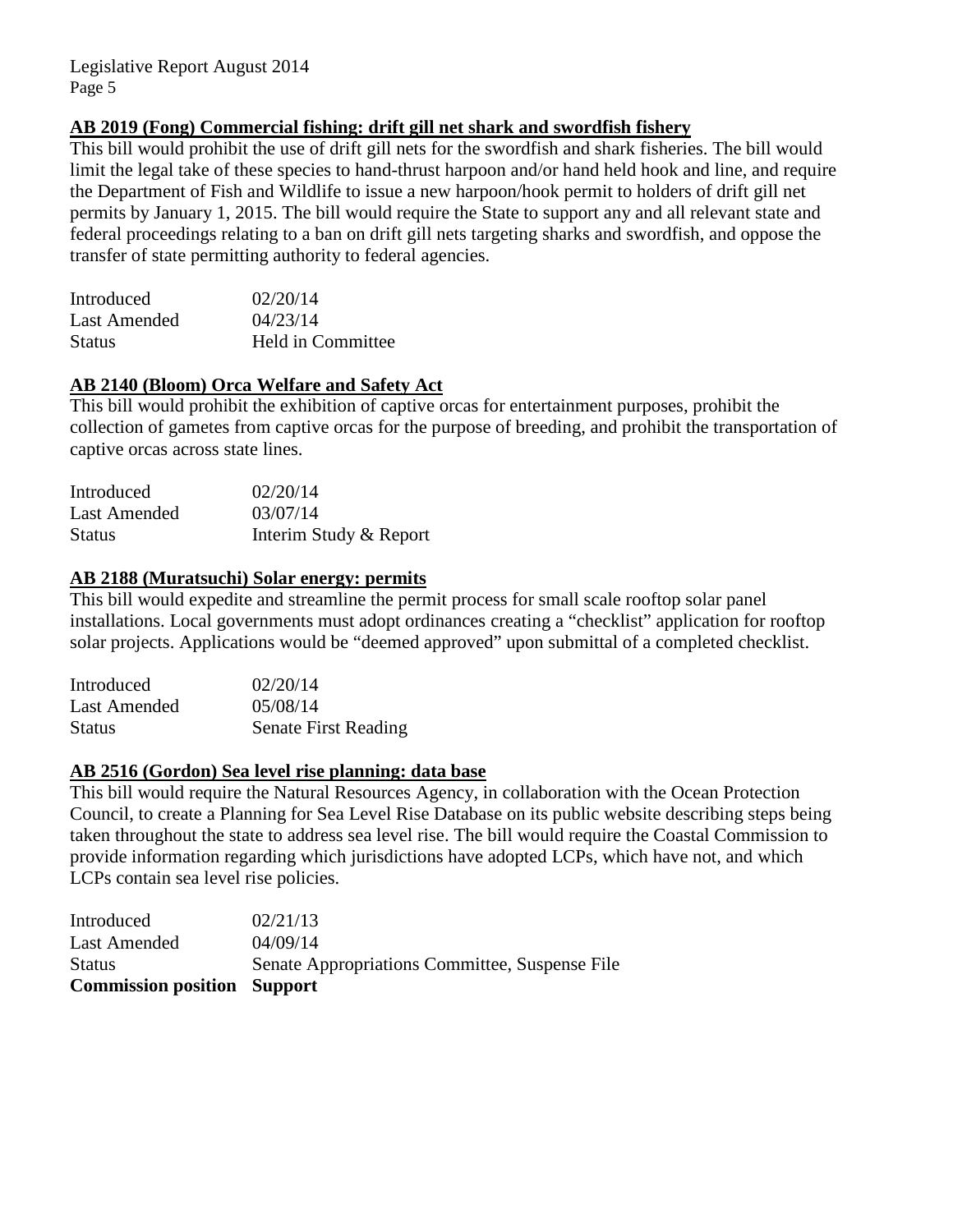# **AB 2019 (Fong) Commercial fishing: drift gill net shark and swordfish fishery**

This bill would prohibit the use of drift gill nets for the swordfish and shark fisheries. The bill would limit the legal take of these species to hand-thrust harpoon and/or hand held hook and line, and require the Department of Fish and Wildlife to issue a new harpoon/hook permit to holders of drift gill net permits by January 1, 2015. The bill would require the State to support any and all relevant state and federal proceedings relating to a ban on drift gill nets targeting sharks and swordfish, and oppose the transfer of state permitting authority to federal agencies.

| Introduced    | 02/20/14          |
|---------------|-------------------|
| Last Amended  | 04/23/14          |
| <b>Status</b> | Held in Committee |

# **AB 2140 (Bloom) Orca Welfare and Safety Act**

This bill would prohibit the exhibition of captive orcas for entertainment purposes, prohibit the collection of gametes from captive orcas for the purpose of breeding, and prohibit the transportation of captive orcas across state lines.

| Introduced          | 02/20/14               |
|---------------------|------------------------|
| <b>Last Amended</b> | 03/07/14               |
| <b>Status</b>       | Interim Study & Report |

#### **AB 2188 (Muratsuchi) Solar energy: permits**

This bill would expedite and streamline the permit process for small scale rooftop solar panel installations. Local governments must adopt ordinances creating a "checklist" application for rooftop solar projects. Applications would be "deemed approved" upon submittal of a completed checklist.

| Introduced    | 02/20/14                    |
|---------------|-----------------------------|
| Last Amended  | 05/08/14                    |
| <b>Status</b> | <b>Senate First Reading</b> |

#### **AB 2516 (Gordon) Sea level rise planning: data base**

This bill would require the Natural Resources Agency, in collaboration with the Ocean Protection Council, to create a Planning for Sea Level Rise Database on its public website describing steps being taken throughout the state to address sea level rise. The bill would require the Coastal Commission to provide information regarding which jurisdictions have adopted LCPs, which have not, and which LCPs contain sea level rise policies.

| <b>Commission position Support</b> |                                                |
|------------------------------------|------------------------------------------------|
| <b>Status</b>                      | Senate Appropriations Committee, Suspense File |
| <b>Last Amended</b>                | 04/09/14                                       |
| Introduced                         | 02/21/13                                       |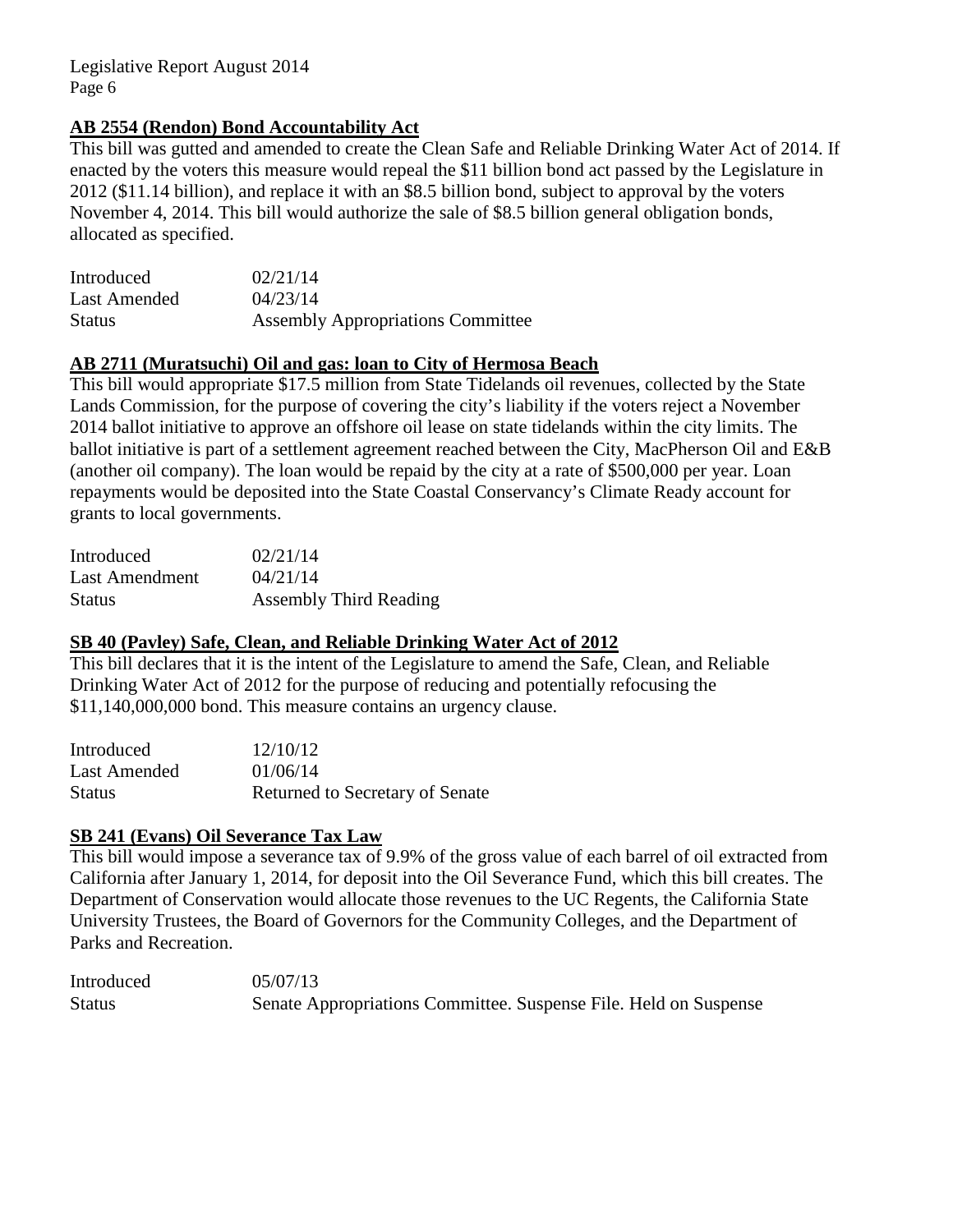# **AB 2554 (Rendon) Bond Accountability Act**

This bill was gutted and amended to create the Clean Safe and Reliable Drinking Water Act of 2014. If enacted by the voters this measure would repeal the \$11 billion bond act passed by the Legislature in 2012 (\$11.14 billion), and replace it with an \$8.5 billion bond, subject to approval by the voters November 4, 2014. This bill would authorize the sale of \$8.5 billion general obligation bonds, allocated as specified.

| Introduced    | 02/21/14                                 |
|---------------|------------------------------------------|
| Last Amended  | 04/23/14                                 |
| <b>Status</b> | <b>Assembly Appropriations Committee</b> |

## **AB 2711 (Muratsuchi) Oil and gas: loan to City of Hermosa Beach**

This bill would appropriate \$17.5 million from State Tidelands oil revenues, collected by the State Lands Commission, for the purpose of covering the city's liability if the voters reject a November 2014 ballot initiative to approve an offshore oil lease on state tidelands within the city limits. The ballot initiative is part of a settlement agreement reached between the City, MacPherson Oil and E&B (another oil company). The loan would be repaid by the city at a rate of \$500,000 per year. Loan repayments would be deposited into the State Coastal Conservancy's Climate Ready account for grants to local governments.

| Introduced     | 02/21/14                      |
|----------------|-------------------------------|
| Last Amendment | 04/21/14                      |
| <b>Status</b>  | <b>Assembly Third Reading</b> |

#### **SB 40 (Pavley) Safe, Clean, and Reliable Drinking Water Act of 2012**

This bill declares that it is the intent of the Legislature to amend the Safe, Clean, and Reliable Drinking Water Act of 2012 for the purpose of reducing and potentially refocusing the \$11,140,000,000 bond. This measure contains an urgency clause.

| Introduced    | 12/10/12                        |
|---------------|---------------------------------|
| Last Amended  | 01/06/14                        |
| <b>Status</b> | Returned to Secretary of Senate |

#### **SB 241 (Evans) Oil Severance Tax Law**

This bill would impose a severance tax of 9.9% of the gross value of each barrel of oil extracted from California after January 1, 2014, for deposit into the Oil Severance Fund, which this bill creates. The Department of Conservation would allocate those revenues to the UC Regents, the California State University Trustees, the Board of Governors for the Community Colleges, and the Department of Parks and Recreation.

Introduced 05/07/13 Status Senate Appropriations Committee. Suspense File. Held on Suspense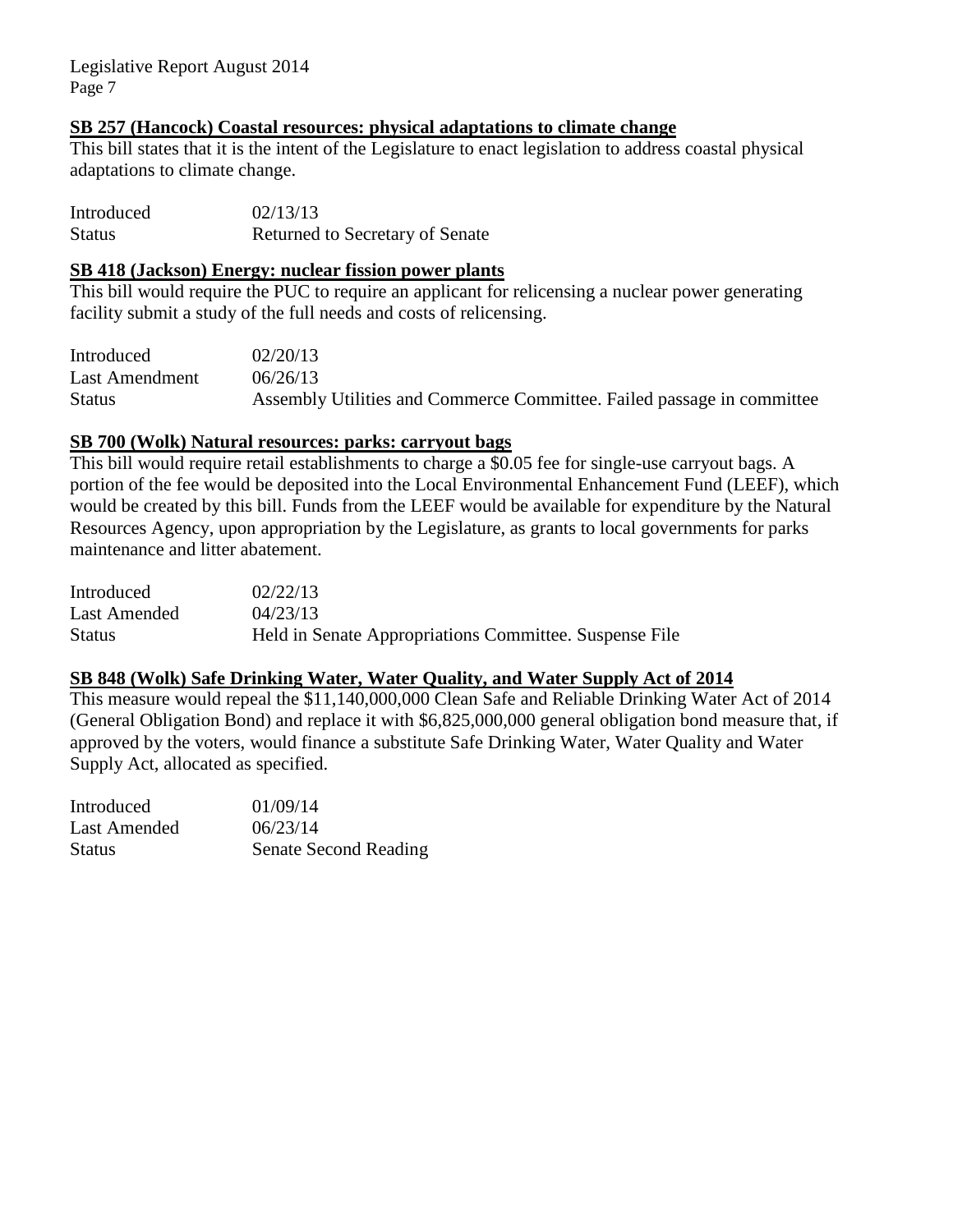#### **SB 257 (Hancock) Coastal resources: physical adaptations to climate change**

This bill states that it is the intent of the Legislature to enact legislation to address coastal physical adaptations to climate change.

| Introduced    | 02/13/13                               |
|---------------|----------------------------------------|
| <b>Status</b> | <b>Returned to Secretary of Senate</b> |

#### **SB 418 (Jackson) Energy: nuclear fission power plants**

This bill would require the PUC to require an applicant for relicensing a nuclear power generating facility submit a study of the full needs and costs of relicensing.

| Introduced     | 02/20/13                                                                |
|----------------|-------------------------------------------------------------------------|
| Last Amendment | 06/26/13                                                                |
| <b>Status</b>  | Assembly Utilities and Commerce Committee. Failed passage in committee. |

# **SB 700 (Wolk) Natural resources: parks: carryout bags**

This bill would require retail establishments to charge a \$0.05 fee for single-use carryout bags. A portion of the fee would be deposited into the Local Environmental Enhancement Fund (LEEF), which would be created by this bill. Funds from the LEEF would be available for expenditure by the Natural Resources Agency, upon appropriation by the Legislature, as grants to local governments for parks maintenance and litter abatement.

| Introduced   | 02/22/13                                               |
|--------------|--------------------------------------------------------|
| Last Amended | 04/23/13                                               |
| Status       | Held in Senate Appropriations Committee. Suspense File |

## **SB 848 (Wolk) Safe Drinking Water, Water Quality, and Water Supply Act of 2014**

This measure would repeal the \$11,140,000,000 Clean Safe and Reliable Drinking Water Act of 2014 (General Obligation Bond) and replace it with \$6,825,000,000 general obligation bond measure that, if approved by the voters, would finance a substitute Safe Drinking Water, Water Quality and Water Supply Act, allocated as specified.

| Introduced   | 01/09/14                     |
|--------------|------------------------------|
| Last Amended | 06/23/14                     |
| Status       | <b>Senate Second Reading</b> |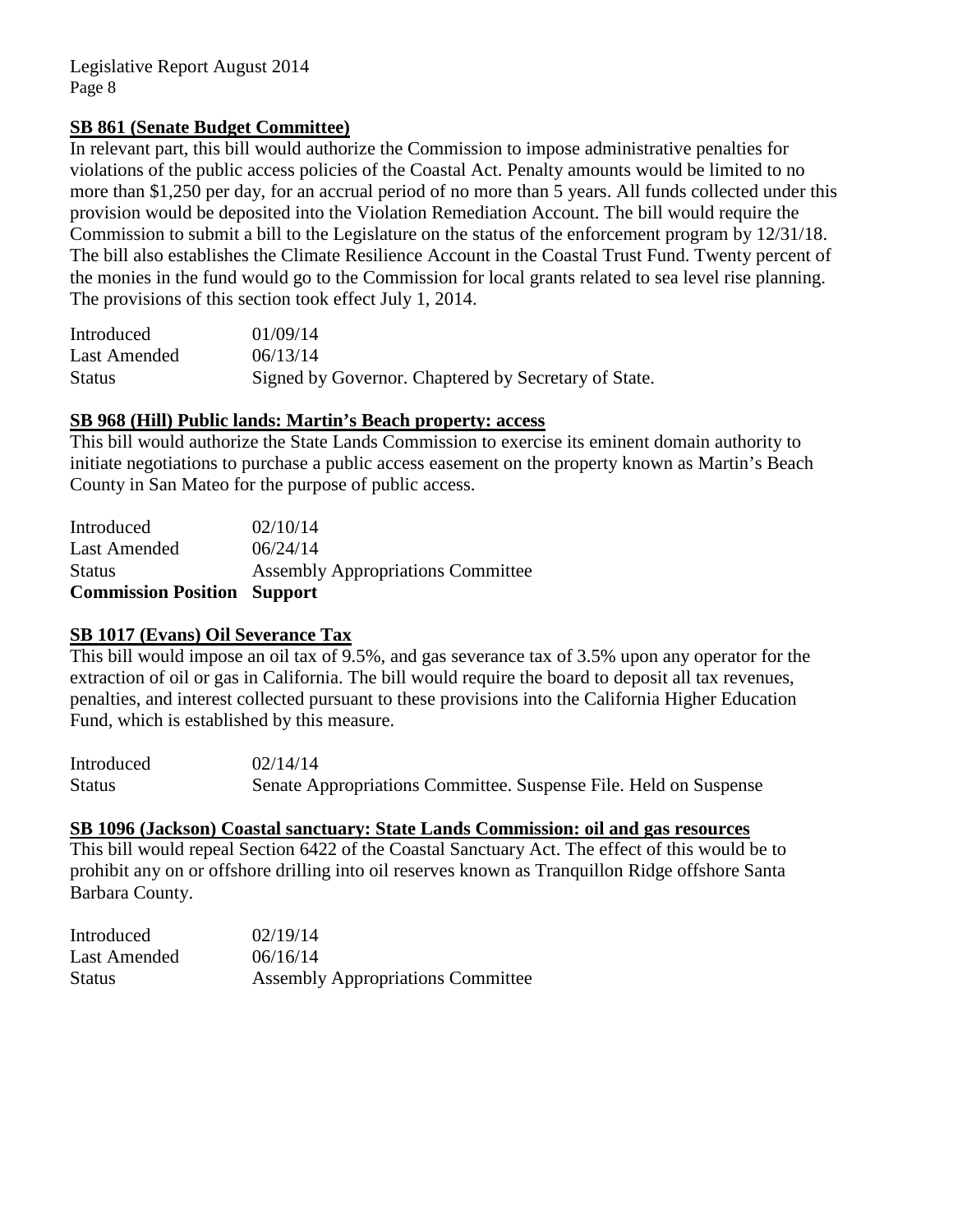# **SB 861 (Senate Budget Committee)**

In relevant part, this bill would authorize the Commission to impose administrative penalties for violations of the public access policies of the Coastal Act. Penalty amounts would be limited to no more than \$1,250 per day, for an accrual period of no more than 5 years. All funds collected under this provision would be deposited into the Violation Remediation Account. The bill would require the Commission to submit a bill to the Legislature on the status of the enforcement program by 12/31/18. The bill also establishes the Climate Resilience Account in the Coastal Trust Fund. Twenty percent of the monies in the fund would go to the Commission for local grants related to sea level rise planning. The provisions of this section took effect July 1, 2014.

| Introduced    | 01/09/14                                             |
|---------------|------------------------------------------------------|
| Last Amended  | 06/13/14                                             |
| <b>Status</b> | Signed by Governor. Chaptered by Secretary of State. |

#### **SB 968 (Hill) Public lands: Martin's Beach property: access**

This bill would authorize the State Lands Commission to exercise its eminent domain authority to initiate negotiations to purchase a public access easement on the property known as Martin's Beach County in San Mateo for the purpose of public access.

| <b>Commission Position Support</b> |                                          |
|------------------------------------|------------------------------------------|
| <b>Status</b>                      | <b>Assembly Appropriations Committee</b> |
| Last Amended                       | 06/24/14                                 |
| Introduced                         | 02/10/14                                 |

#### **SB 1017 (Evans) Oil Severance Tax**

This bill would impose an oil tax of 9.5%, and gas severance tax of 3.5% upon any operator for the extraction of oil or gas in California. The bill would require the board to deposit all tax revenues, penalties, and interest collected pursuant to these provisions into the California Higher Education Fund, which is established by this measure.

Introduced  $02/14/14$ Status Senate Appropriations Committee. Suspense File. Held on Suspense

#### **SB 1096 (Jackson) Coastal sanctuary: State Lands Commission: oil and gas resources**

This bill would repeal Section 6422 of the Coastal Sanctuary Act. The effect of this would be to prohibit any on or offshore drilling into oil reserves known as Tranquillon Ridge offshore Santa Barbara County.

| Introduced    | 02/19/14                                 |
|---------------|------------------------------------------|
| Last Amended  | 06/16/14                                 |
| <b>Status</b> | <b>Assembly Appropriations Committee</b> |